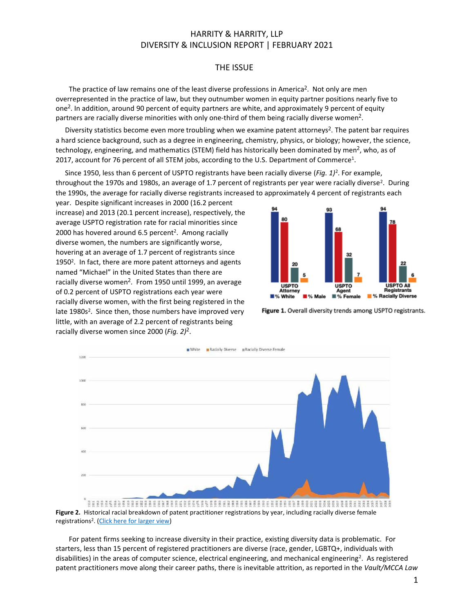#### THE ISSUE

The practice of law remains one of the least diverse professions in America<sup>2</sup>. Not only are men overrepresented in the practice of law, but they outnumber women in equity partner positions nearly five to one<sup>2</sup>. In addition, around 90 percent of equity partners are white, and approximately 9 percent of equity partners are racially diverse minorities with only one-third of them being racially diverse women<sup>2</sup>.

Diversity statistics become even more troubling when we examine patent attorneys<sup>2</sup>. The patent bar requires a hard science background, such as a degree in engineering, chemistry, physics, or biology; however, the science, technology, engineering, and mathematics (STEM) field has historically been dominated by men<sup>2</sup>, who, as of 2017, account for 76 percent of all STEM jobs, according to the U.S. Department of Commerce<sup>1</sup>.

Since 1950, less than 6 percent of USPTO registrants have been racially diverse (*Fig. 1)*<sup>2</sup> . For example, throughout the 1970s and 1980s, an average of 1.7 percent of registrants per year were racially diverse<sup>2</sup>. During the 1990s, the average for racially diverse registrants increased to approximately 4 percent of registrants each

year. Despite significant increases in 2000 (16.2 percent increase) and 2013 (20.1 percent increase), respectively, the average USPTO registration rate for racial minorities since 2000 has hovered around 6.5 percent<sup>2</sup>. Among racially diverse women, the numbers are significantly worse, hovering at an average of 1.7 percent of registrants since 1950<sup>2</sup>. In fact, there are more patent attorneys and agents named "Michael" in the United States than there are racially diverse women<sup>2</sup>. From 1950 until 1999, an average of 0.2 percent of USPTO registrations each year were racially diverse women, with the first being registered in the late 1980s<sup>2</sup>. Since then, those numbers have improved very little, with an average of 2.2 percent of registrants being racially diverse women since 2000 (*Fig. 2)*<sup>2</sup> .



Figure 1. Overall diversity trends among USPTO registrants.



registrations<sup>2</sup>. [\(Click here for larger view\)](https://harrityllp.com/diversity-report/)

For patent firms seeking to increase diversity in their practice, existing diversity data is problematic. For starters, less than 15 percent of registered practitioners are diverse (race, gender, LGBTQ+, individuals with disabilities) in the areas of computer science, electrical engineering, and mechanical engineering<sup>2</sup>. As registered patent practitioners move along their career paths, there is inevitable attrition, as reported in the *Vault/MCCA Law*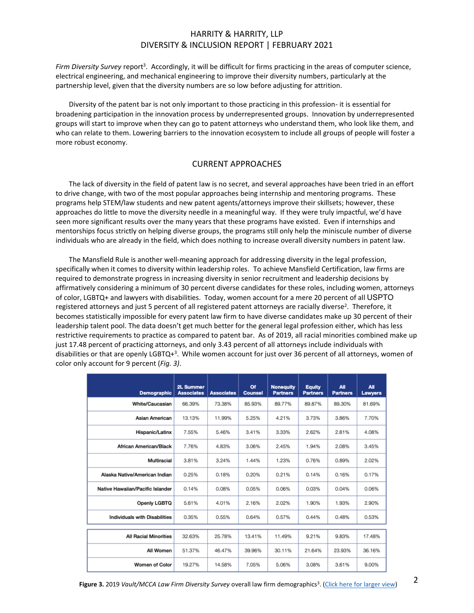Firm Diversity Survey report<sup>3</sup>. Accordingly, it will be difficult for firms practicing in the areas of computer science, electrical engineering, and mechanical engineering to improve their diversity numbers, particularly at the partnership level, given that the diversity numbers are so low before adjusting for attrition.

Diversity of the patent bar is not only important to those practicing in this profession- it is essential for broadening participation in the innovation process by underrepresented groups. Innovation by underrepresented groups will start to improve when they can go to patent attorneys who understand them, who look like them, and who can relate to them. Lowering barriers to the innovation ecosystem to include all groups of people will foster a more robust economy.

#### CURRENT APPROACHES

The lack of diversity in the field of patent law is no secret, and several approaches have been tried in an effort to drive change, with two of the most popular approaches being internship and mentoring programs. These programs help STEM/law students and new patent agents/attorneys improve their skillsets; however, these approaches do little to move the diversity needle in a meaningful way. If they were truly impactful, we'd have seen more significant results over the many years that these programs have existed. Even if internships and mentorships focus strictly on helping diverse groups, the programs still only help the miniscule number of diverse individuals who are already in the field, which does nothing to increase overall diversity numbers in patent law.

The Mansfield Rule is another well-meaning approach for addressing diversity in the legal profession, specifically when it comes to diversity within leadership roles. To achieve Mansfield Certification, law firms are required to demonstrate progress in increasing diversity in senior recruitment and leadership decisions by affirmatively considering a minimum of 30 percent diverse candidates for these roles, including women, attorneys of color, LGBTQ+ and lawyers with disabilities. Today, women account for a mere 20 percent of all USPTO registered attorneys and just 5 percent of all registered patent attorneys are racially diverse<sup>2</sup>. Therefore, it becomes statistically impossible for every patent law firm to have diverse candidates make up 30 percent of their leadership talent pool. The data doesn't get much better for the general legal profession either, which has less restrictive requirements to practice as compared to patent bar. As of 2019, all racial minorities combined make up just 17.48 percent of practicing attorneys, and only 3.43 percent of all attorneys include individuals with disabilities or that are openly LGBTQ+<sup>3</sup>. While women account for just over 36 percent of all attorneys, women of color only account for 9 percent (*Fig. 3)*.

| Demographic                      | 2L Summer<br><b>Associates</b> | <b>Associates</b> | Of<br><b>Counsel</b> | <b>Nonequity</b><br><b>Partners</b> | <b>Equity</b><br><b>Partners</b> | All<br><b>Partners</b> | All<br><b>Lawyers</b> |
|----------------------------------|--------------------------------|-------------------|----------------------|-------------------------------------|----------------------------------|------------------------|-----------------------|
| White/Caucasian                  | 66.39%                         | 73.38%            | 85.93%               | 89.77%                              | 89.87%                           | 89.30%                 | 81.69%                |
| Asian American                   | 13.13%                         | 11.99%            | 5.25%                | 4.21%                               | 3.73%                            | 3.86%                  | 7.70%                 |
| Hispanic/Latinx                  | 7.55%                          | 5.46%             | 3.41%                | 3.33%                               | 2.62%                            | 2.81%                  | 4.08%                 |
| African American/Black           | 7.76%                          | 4.83%             | 3.06%                | 2.45%                               | 1.94%                            | 2.08%                  | 3.45%                 |
| Multiracial                      | 3.81%                          | 3.24%             | 1.44%                | 1.23%                               | 0.76%                            | 0.89%                  | 2.02%                 |
| Alaska Native/American Indian    | 0.25%                          | 0.18%             | 0.20%                | 0.21%                               | 0.14%                            | 0.16%                  | 0.17%                 |
| Native Hawaiian/Pacific Islander | 0.14%                          | 0.08%             | 0.05%                | 0.06%                               | 0.03%                            | 0.04%                  | 0.06%                 |
| Openly LGBTQ                     | 5.61%                          | 4.01%             | 2.16%                | 2.02%                               | 1.90%                            | 1.93%                  | 2.90%                 |
| Individuals with Disabilities    | 0.35%                          | 0.55%             | 0.64%                | 0.57%                               | 0.44%                            | 0.48%                  | 0.53%                 |
| <b>All Racial Minorities</b>     | 32.63%                         | 25.78%            | 13.41%               | 11.49%                              | 9.21%                            | 9.83%                  | 17.48%                |
| All Women                        | 51.37%                         | 46.47%            | 39.96%               | 30.11%                              | 21.64%                           | 23.93%                 | 36.16%                |
| <b>Women of Color</b>            | 19.27%                         | 14.58%            | 7.05%                | 5.06%                               | 3.08%                            | 3.61%                  | 9.00%                 |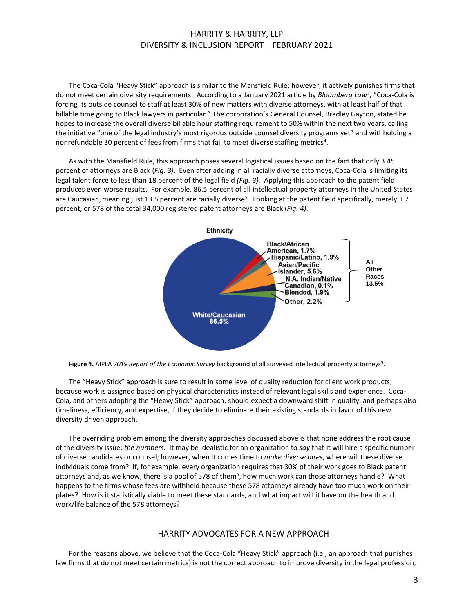The Coca-Cola "Heavy Stick" approach is similar to the Mansfield Rule; however, it actively punishes firms that do not meet certain diversity requirements. According to a January 2021 article by *Bloomberg Law<sup>4</sup>* , "Coca-Cola is forcing its outside counsel to staff at least 30% of new matters with diverse attorneys, with at least half of that billable time going to Black lawyers in particular." The corporation's General Counsel, Bradley Gayton, stated he hopes to increase the overall diverse billable hour staffing requirement to 50% within the next two years, calling the initiative "one of the legal industry's most rigorous outside counsel diversity programs yet" and withholding a nonrefundable 30 percent of fees from firms that fail to meet diverse staffing metrics<sup>4</sup>.

As with the Mansfield Rule, this approach poses several logistical issues based on the fact that only 3.45 percent of attorneys are Black (*Fig. 3)*. Even after adding in all racially diverse attorneys, Coca-Cola is limiting its legal talent force to less than 18 percent of the legal field *(Fig. 3).* Applying this approach to the patent field produces even worse results. For example, 86.5 percent of all intellectual property attorneys in the United States are Caucasian, meaning just 13.5 percent are racially diverse<sup>5</sup>. Looking at the patent field specifically, merely 1.7 percent, or 578 of the total 34,000 registered patent attorneys are Black (*Fig. 4)*.



Figure 4. AIPLA 2019 Report of the Economic Survey background of all surveyed intellectual property attorneys<sup>5</sup>.

The "Heavy Stick" approach is sure to result in some level of quality reduction for client work products, because work is assigned based on physical characteristics instead of relevant legal skills and experience. Coca-Cola, and others adopting the "Heavy Stick" approach, should expect a downward shift in quality, and perhaps also timeliness, efficiency, and expertise, if they decide to eliminate their existing standards in favor of this new diversity driven approach.

The overriding problem among the diversity approaches discussed above is that none address the root cause of the diversity issue: *the numbers.* It may be idealistic for an organization to *say* that it will hire a specific number of diverse candidates or counsel; however, when it comes time to *make diverse hires*, where will these diverse individuals come from? If, for example, every organization requires that 30% of their work goes to Black patent attorneys and, as we know, there is a pool of 578 of them<sup>5</sup>, how much work can those attorneys handle? What happens to the firms whose fees are withheld because these 578 attorneys already have too much work on their plates? How is it statistically viable to meet these standards, and what impact will it have on the health and work/life balance of the 578 attorneys?

#### HARRITY ADVOCATES FOR A NEW APPROACH

For the reasons above, we believe that the Coca-Cola "Heavy Stick" approach (i.e., an approach that punishes law firms that do not meet certain metrics) is not the correct approach to improve diversity in the legal profession,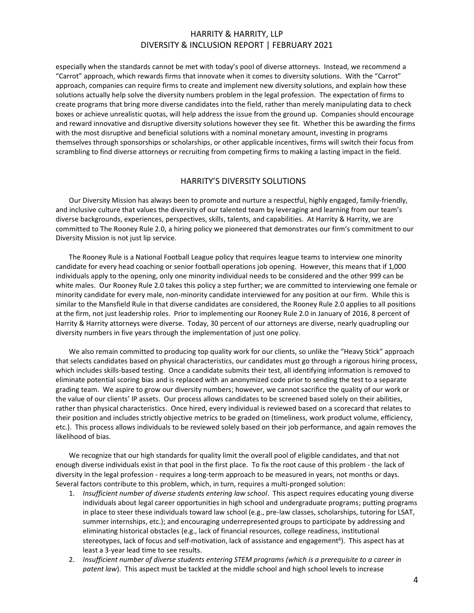especially when the standards cannot be met with today's pool of diverse attorneys. Instead, we recommend a "Carrot" approach, which rewards firms that innovate when it comes to diversity solutions. With the "Carrot" approach, companies can require firms to create and implement new diversity solutions, and explain how these solutions actually help solve the diversity numbers problem in the legal profession. The expectation of firms to create programs that bring more diverse candidates into the field, rather than merely manipulating data to check boxes or achieve unrealistic quotas, will help address the issue from the ground up. Companies should encourage and reward innovative and disruptive diversity solutions however they see fit. Whether this be awarding the firms with the most disruptive and beneficial solutions with a nominal monetary amount, investing in programs themselves through sponsorships or scholarships, or other applicable incentives, firms will switch their focus from scrambling to find diverse attorneys or recruiting from competing firms to making a lasting impact in the field.

#### HARRITY'S DIVERSITY SOLUTIONS

Our Diversity Mission has always been to promote and nurture a respectful, highly engaged, family-friendly, and inclusive culture that values the diversity of our talented team by leveraging and learning from our team's diverse backgrounds, experiences, perspectives, skills, talents, and capabilities. At Harrity & Harrity, we are committed to The Rooney Rule 2.0, a hiring policy we pioneered that demonstrates our firm's commitment to our Diversity Mission is not just lip service.

The Rooney Rule is a National Football League policy that requires league teams to interview one minority candidate for every head coaching or senior football operations job opening. However, this means that if 1,000 individuals apply to the opening, only one minority individual needs to be considered and the other 999 can be white males. Our Rooney Rule 2.0 takes this policy a step further; we are committed to interviewing one female or minority candidate for every male, non-minority candidate interviewed for any position at our firm. While this is similar to the Mansfield Rule in that diverse candidates are considered, the Rooney Rule 2.0 applies to all positions at the firm, not just leadership roles. Prior to implementing our Rooney Rule 2.0 in January of 2016, 8 percent of Harrity & Harrity attorneys were diverse. Today, 30 percent of our attorneys are diverse, nearly quadrupling our diversity numbers in five years through the implementation of just one policy.

We also remain committed to producing top quality work for our clients, so unlike the "Heavy Stick" approach that selects candidates based on physical characteristics, our candidates must go through a rigorous hiring process, which includes skills-based testing. Once a candidate submits their test, all identifying information is removed to eliminate potential scoring bias and is replaced with an anonymized code prior to sending the test to a separate grading team. We aspire to grow our diversity numbers; however, we cannot sacrifice the quality of our work or the value of our clients' IP assets. Our process allows candidates to be screened based solely on their abilities, rather than physical characteristics. Once hired, every individual is reviewed based on a scorecard that relates to their position and includes strictly objective metrics to be graded on (timeliness, work product volume, efficiency, etc.). This process allows individuals to be reviewed solely based on their job performance, and again removes the likelihood of bias.

We recognize that our high standards for quality limit the overall pool of eligible candidates, and that not enough diverse individuals exist in that pool in the first place. To fix the root cause of this problem - the lack of diversity in the legal profession - requires a long-term approach to be measured in years, not months or days. Several factors contribute to this problem, which, in turn, requires a multi-pronged solution:

- 1. *Insufficient number of diverse students entering law school*. This aspect requires educating young diverse individuals about legal career opportunities in high school and undergraduate programs; putting programs in place to steer these individuals toward law school (e.g., pre-law classes, scholarships, tutoring for LSAT, summer internships, etc.); and encouraging underrepresented groups to participate by addressing and eliminating historical obstacles (e.g., lack of financial resources, college readiness, institutional stereotypes, lack of focus and self-motivation, lack of assistance and engagement<sup>6</sup>). This aspect has at least a 3-year lead time to see results.
- 2. *Insufficient number of diverse students entering STEM programs (which is a prerequisite to a career in patent law*). This aspect must be tackled at the middle school and high school levels to increase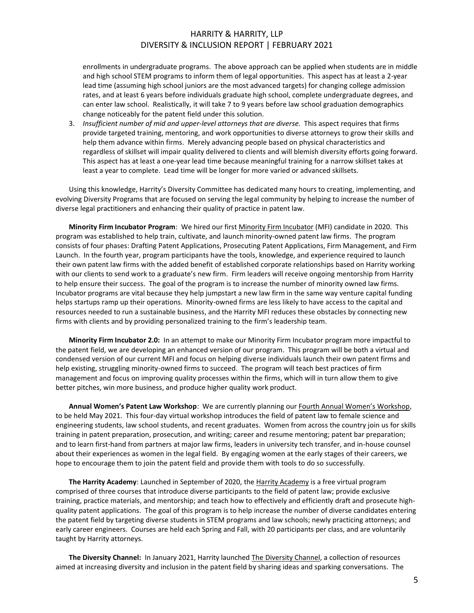enrollments in undergraduate programs. The above approach can be applied when students are in middle and high school STEM programs to inform them of legal opportunities. This aspect has at least a 2-year lead time (assuming high school juniors are the most advanced targets) for changing college admission rates, and at least 6 years before individuals graduate high school, complete undergraduate degrees, and can enter law school. Realistically, it will take 7 to 9 years before law school graduation demographics change noticeably for the patent field under this solution.

3. *Insufficient number of mid and upper-level attorneys that are diverse.* This aspect requires that firms provide targeted training, mentoring, and work opportunities to diverse attorneys to grow their skills and help them advance within firms. Merely advancing people based on physical characteristics and regardless of skillset will impair quality delivered to clients and will blemish diversity efforts going forward. This aspect has at least a one-year lead time because meaningful training for a narrow skillset takes at least a year to complete. Lead time will be longer for more varied or advanced skillsets.

Using this knowledge, Harrity's Diversity Committee has dedicated many hours to creating, implementing, and evolving Diversity Programs that are focused on serving the legal community by helping to increase the number of diverse legal practitioners and enhancing their quality of practice in patent law.

**Minority Firm Incubator Program**: We hired our firs[t Minority Firm Incubator](https://harrityllp.com/incubator/) (MFI) candidate in 2020. This program was established to help train, cultivate, and launch minority-owned patent law firms. The program consists of four phases: Drafting Patent Applications, Prosecuting Patent Applications, Firm Management, and Firm Launch. In the fourth year, program participants have the tools, knowledge, and experience required to launch their own patent law firms with the added benefit of established corporate relationships based on Harrity working with our clients to send work to a graduate's new firm. Firm leaders will receive ongoing mentorship from Harrity to help ensure their success. The goal of the program is to increase the number of minority owned law firms. Incubator programs are vital because they help jumpstart a new law firm in the same way venture capital funding helps startups ramp up their operations. Minority-owned firms are less likely to have access to the capital and resources needed to run a sustainable business, and the Harrity MFI reduces these obstacles by connecting new firms with clients and by providing personalized training to the firm's leadership team.

**Minority Firm Incubator 2.0:** In an attempt to make our Minority Firm Incubator program more impactful to the patent field, we are developing an enhanced version of our program. This program will be both a virtual and condensed version of our current MFI and focus on helping diverse individuals launch their own patent firms and help existing, struggling minority-owned firms to succeed. The program will teach best practices of firm management and focus on improving quality processes within the firms, which will in turn allow them to give better pitches, win more business, and produce higher quality work product.

**Annual Women's Patent Law Workshop**: We are currently planning our [Fourth Annual Women's Workshop](https://harrityllp.com/diversity/womens-workshop-2020/), to be held May 2021. This four-day virtual workshop introduces the field of patent law to female science and engineering students, law school students, and recent graduates. Women from across the country join us for skills training in patent preparation, prosecution, and writing; career and resume mentoring; patent bar preparation; and to learn first-hand from partners at major law firms, leaders in university tech transfer, and in-house counsel about their experiences as women in the legal field. By engaging women at the early stages of their careers, we hope to encourage them to join the patent field and provide them with tools to do so successfully.

**The Harrity Academy**: Launched in September of 2020, the [Harrity Academy](https://harrityllp.com/diversity/the-harrity-academy/) is a free virtual program comprised of three courses that introduce diverse participants to the field of patent law; provide exclusive training, practice materials, and mentorship; and teach how to effectively and efficiently draft and prosecute highquality patent applications. The goal of this program is to help increase the number of diverse candidates entering the patent field by targeting diverse students in STEM programs and law schools; newly practicing attorneys; and early career engineers. Courses are held each Spring and Fall, with 20 participants per class, and are voluntarily taught by Harrity attorneys.

**The Diversity Channel:** In January 2021, Harrity launched [The Diversity Channel,](https://harrityllp.com/thediversitychannel/) a collection of resources aimed at increasing diversity and inclusion in the patent field by sharing ideas and sparking conversations. The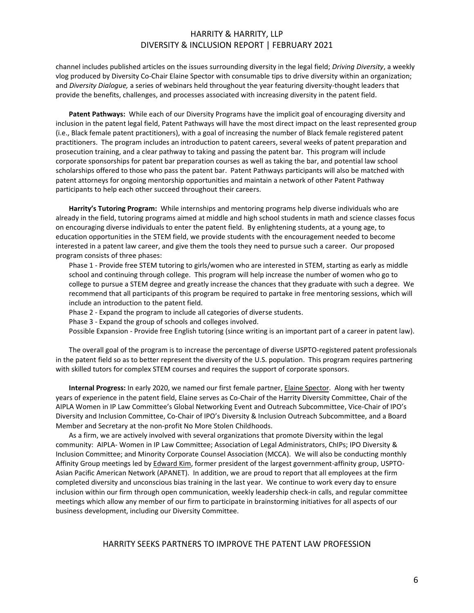channel includes published articles on the issues surrounding diversity in the legal field; *Driving Diversity*, a weekly vlog produced by Diversity Co-Chair Elaine Spector with consumable tips to drive diversity within an organization; and *Diversity Dialogue,* a series of webinars held throughout the year featuring diversity-thought leaders that provide the benefits, challenges, and processes associated with increasing diversity in the patent field.

**Patent Pathways:** While each of our Diversity Programs have the implicit goal of encouraging diversity and inclusion in the patent legal field, Patent Pathways will have the most direct impact on the least represented group (i.e., Black female patent practitioners), with a goal of increasing the number of Black female registered patent practitioners. The program includes an introduction to patent careers, several weeks of patent preparation and prosecution training, and a clear pathway to taking and passing the patent bar. This program will include corporate sponsorships for patent bar preparation courses as well as taking the bar, and potential law school scholarships offered to those who pass the patent bar. Patent Pathways participants will also be matched with patent attorneys for ongoing mentorship opportunities and maintain a network of other Patent Pathway participants to help each other succeed throughout their careers.

**Harrity's Tutoring Program:** While internships and mentoring programs help diverse individuals who are already in the field, tutoring programs aimed at middle and high school students in math and science classes focus on encouraging diverse individuals to enter the patent field. By enlightening students, at a young age, to education opportunities in the STEM field, we provide students with the encouragement needed to become interested in a patent law career, and give them the tools they need to pursue such a career. Our proposed program consists of three phases:

Phase 1 - Provide free STEM tutoring to girls/women who are interested in STEM, starting as early as middle school and continuing through college. This program will help increase the number of women who go to college to pursue a STEM degree and greatly increase the chances that they graduate with such a degree. We recommend that all participants of this program be required to partake in free mentoring sessions, which will include an introduction to the patent field.

Phase 2 - Expand the program to include all categories of diverse students.

Phase 3 - Expand the group of schools and colleges involved.

Possible Expansion - Provide free English tutoring (since writing is an important part of a career in patent law).

The overall goal of the program is to increase the percentage of diverse USPTO-registered patent professionals in the patent field so as to better represent the diversity of the U.S. population. This program requires partnering with skilled tutors for complex STEM courses and requires the support of corporate sponsors.

**Internal Progress:** In early 2020, we named our first female partner[, Elaine Spector.](https://harrityllp.com/team/elaine-spector/) Along with her twenty years of experience in the patent field, Elaine serves as Co-Chair of the Harrity Diversity Committee, Chair of the AIPLA Women in IP Law Committee's Global Networking Event and Outreach Subcommittee, Vice-Chair of IPO's Diversity and Inclusion Committee, Co-Chair of IPO's Diversity & Inclusion Outreach Subcommittee, and a Board Member and Secretary at the non-profit No More Stolen Childhoods.

As a firm, we are actively involved with several organizations that promote Diversity within the legal community: AIPLA- Women in IP Law Committee; Association of Legal Administrators, ChIPs; IPO Diversity & Inclusion Committee; and Minority Corporate Counsel Association (MCCA). We will also be conducting monthly Affinity Group meetings led by [Edward Kim,](https://harrityllp.com/team/edward-kim) former president of the largest government-affinity group, USPTO-Asian Pacific American Network (APANET). In addition, we are proud to report that all employees at the firm completed diversity and unconscious bias training in the last year. We continue to work every day to ensure inclusion within our firm through open communication, weekly leadership check-in calls, and regular committee meetings which allow any member of our firm to participate in brainstorming initiatives for all aspects of our business development, including our Diversity Committee.

#### HARRITY SEEKS PARTNERS TO IMPROVE THE PATENT LAW PROFESSION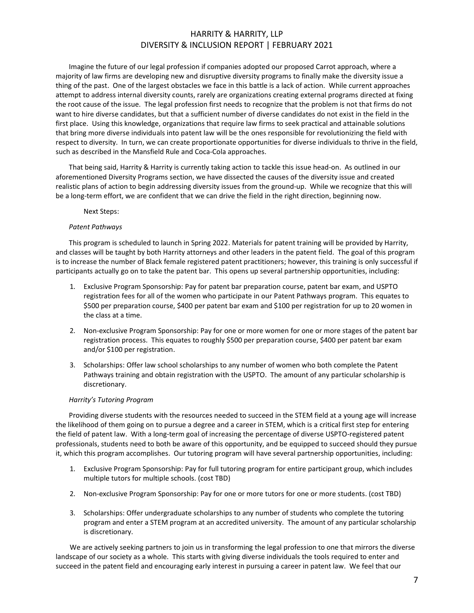Imagine the future of our legal profession if companies adopted our proposed Carrot approach, where a majority of law firms are developing new and disruptive diversity programs to finally make the diversity issue a thing of the past. One of the largest obstacles we face in this battle is a lack of action. While current approaches attempt to address internal diversity counts, rarely are organizations creating external programs directed at fixing the root cause of the issue. The legal profession first needs to recognize that the problem is not that firms do not want to hire diverse candidates, but that a sufficient number of diverse candidates do not exist in the field in the first place. Using this knowledge, organizations that require law firms to seek practical and attainable solutions that bring more diverse individuals into patent law will be the ones responsible for revolutionizing the field with respect to diversity. In turn, we can create proportionate opportunities for diverse individuals to thrive in the field, such as described in the Mansfield Rule and Coca-Cola approaches.

That being said, Harrity & Harrity is currently taking action to tackle this issue head-on. As outlined in our aforementioned Diversity Programs section, we have dissected the causes of the diversity issue and created realistic plans of action to begin addressing diversity issues from the ground-up. While we recognize that this will be a long-term effort, we are confident that we can drive the field in the right direction, beginning now.

#### Next Steps:

#### *Patent Pathways*

This program is scheduled to launch in Spring 2022. Materials for patent training will be provided by Harrity, and classes will be taught by both Harrity attorneys and other leaders in the patent field. The goal of this program is to increase the number of Black female registered patent practitioners; however, this training is only successful if participants actually go on to take the patent bar. This opens up several partnership opportunities, including:

- 1. Exclusive Program Sponsorship: Pay for patent bar preparation course, patent bar exam, and USPTO registration fees for all of the women who participate in our Patent Pathways program. This equates to \$500 per preparation course, \$400 per patent bar exam and \$100 per registration for up to 20 women in the class at a time.
- 2. Non-exclusive Program Sponsorship: Pay for one or more women for one or more stages of the patent bar registration process. This equates to roughly \$500 per preparation course, \$400 per patent bar exam and/or \$100 per registration.
- 3. Scholarships: Offer law school scholarships to any number of women who both complete the Patent Pathways training and obtain registration with the USPTO. The amount of any particular scholarship is discretionary.

#### *Harrity's Tutoring Program*

Providing diverse students with the resources needed to succeed in the STEM field at a young age will increase the likelihood of them going on to pursue a degree and a career in STEM, which is a critical first step for entering the field of patent law. With a long-term goal of increasing the percentage of diverse USPTO-registered patent professionals, students need to both be aware of this opportunity, and be equipped to succeed should they pursue it, which this program accomplishes. Our tutoring program will have several partnership opportunities, including:

- 1. Exclusive Program Sponsorship: Pay for full tutoring program for entire participant group, which includes multiple tutors for multiple schools. (cost TBD)
- 2. Non-exclusive Program Sponsorship: Pay for one or more tutors for one or more students. (cost TBD)
- 3. Scholarships: Offer undergraduate scholarships to any number of students who complete the tutoring program and enter a STEM program at an accredited university. The amount of any particular scholarship is discretionary.

We are actively seeking partners to join us in transforming the legal profession to one that mirrors the diverse landscape of our society as a whole. This starts with giving diverse individuals the tools required to enter and succeed in the patent field and encouraging early interest in pursuing a career in patent law. We feel that our